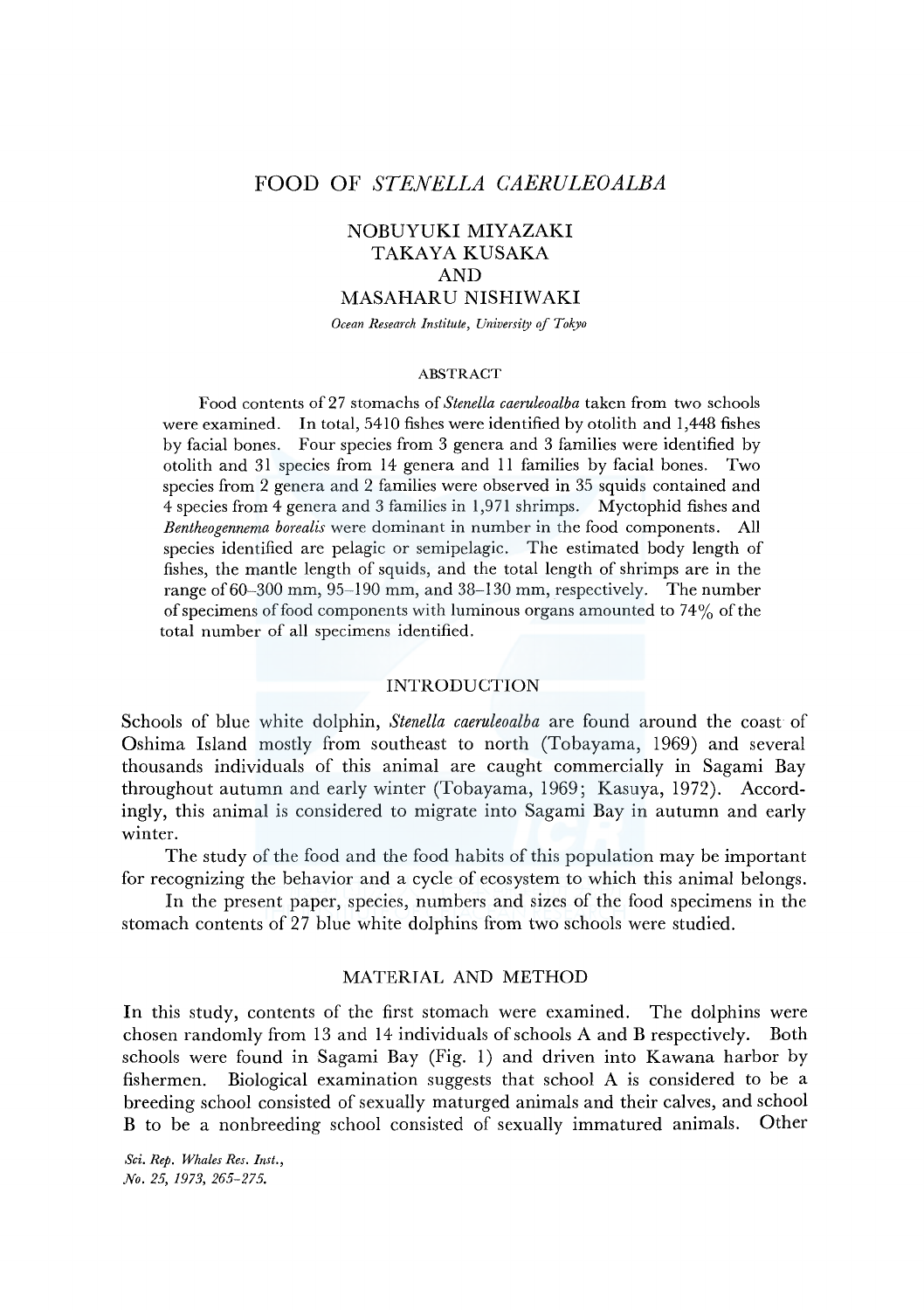# **FOOD OF** *STENELLA CAERULEOALBA*

# NOBUYUKI MIYAZAKI TAKAYA KUSAKA AND MASAHARU NISHIWAKI

*Ocean Research Institute, University of Tokyo* 

#### ABSTRACT

Food contents of27 stomachs of *Stenella caeruleoalba* taken from two schools were examined. In total, 5410 fishes were identified by otolith and 1,448 fishes by facial bones. Four species from 3 genera and 3 families were identified by otolith and 31 species from 14 genera and 11 families by facial bones. Two species from 2 genera and 2 families were observed in 35 squids contained and 4 species from 4 genera and 3 families in 1,971 shrimps. Myctophid fishes and *Bentheogennema borealis* were dominant in number in the food components. All species identified are pelagic or semipelagic. The estimated body length of fishes, the mantle length of squids, and the total length of shrimps are in the range of 60-300 mm, 95-190 mm, and 38-130 mm, respectively. The number of specimens of food components with luminous organs amounted to 74% of the total number of all specimens identified.

#### INTRODUCTION

Schools of blue white dolphin, *Stenella caeruleoalba* are found around the coast of Oshima Island mostly from southeast to north (Tobayama, 1969) and several thousands individuals of this animal are caught commercially in Sagami Bay throughout autumn and early winter (Tobayama, 1969; Kasuya, 1972). Accordingly, this animal is considered to migrate into Sagami Bay in autumn and early winter.

The study of the food and the food habits of this population may be important for recognizing the behavior and a cycle of ecosystem to which this animal belongs.

In the present paper, species, numbers and sizes of the food specimens in the stomach contents of 27 blue white dolphins from two schools were studied.

## MATERIAL AND METHOD

In this study, contents of the first stomach were examined. The dolphins were chosen randomly from 13 and 14 individuals of schools A and **B** respectively. Both schools were found in Sagami Bay (Fig. 1) and driven into Kawana harbor by fishermen. Biological examination suggests that school A is considered to be a breeding school consisted of sexually maturged animals and their calves, and school **B** to be a nonbreeding school consisted of sexually immatured animals. Other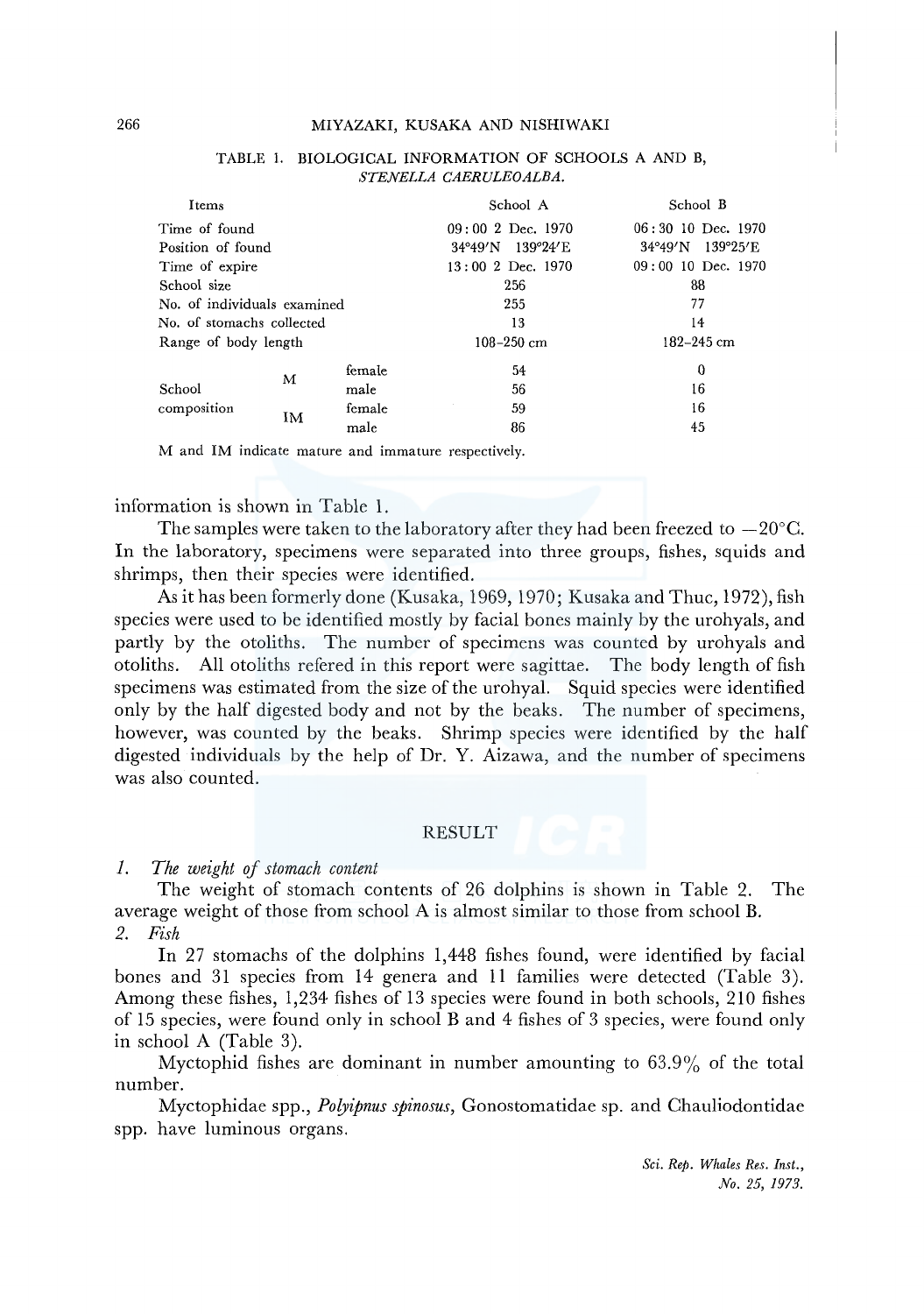#### 266 MIYAZAKI, KUSAKA AND NISHIWAKI

| Items                       |    |        | School A            | School B             |  |  |  |
|-----------------------------|----|--------|---------------------|----------------------|--|--|--|
| Time of found               |    |        | $09:002$ Dec. 1970  | $06:30$ 10 Dec. 1970 |  |  |  |
| Position of found           |    |        | 34°49'N 139°24'E    | 34°49'N 139°25'E     |  |  |  |
| Time of expire              |    |        | $13:00$ 2 Dec. 1970 | $09:00$ 10 Dec. 1970 |  |  |  |
| School size                 |    |        | 256                 | 88                   |  |  |  |
| No. of individuals examined |    |        | 255                 | 77                   |  |  |  |
| No. of stomachs collected   |    |        | 13                  | 14                   |  |  |  |
| Range of body length        |    |        | $108 - 250$ cm      | $182 - 245$ cm       |  |  |  |
|                             |    | female | 54                  | 0                    |  |  |  |
| School                      | М  | male   | 56                  | 16                   |  |  |  |
| composition                 | IM | female | 59                  | 16                   |  |  |  |
|                             |    | male   | 86                  | 45                   |  |  |  |

### TABLE !. BIOLOGICAL INFORMATION OF SCHOOLS A AND B, *STENELLA CAERULEOALBA.*

M and IM indicate mature and immature respectively.

### information is shown in Table 1.

The samples were taken to the laboratory after they had been freezed to  $-20^{\circ}$ C. In the laboratory, specimens were separated into three groups, fishes, squids and shrimps, then their species were identified.

As it has been formerly done (Kusaka, 1969, 1970; Kusaka and Thuc, 1972), fish species were used to be identified mostly by facial bones mainly by the urohyals, and partly by the otoliths. The number of specimens was counted by urohyals and otoliths. All otoliths refered in this report were sagittae. The body length of fish specimens was estimated from the size of the urohyal. Squid species were identified only by the half digested body and not by the beaks. The number of specimens, however, was counted by the beaks. Shrimp species were identified by the half digested individuals by the help of Dr. Y. Aizawa, and the number of specimens was also counted.

### RESULT

## *1. The weight of stomach content*

The weight of stomach contents of 26 dolphins is shown in Table 2. The average weight of those from school A is almost similar to those from school B. *2. Fish* 

In 27 stomachs of the dolphins 1,448 fishes found, were identified by facial bones and 31 species from 14 genera and 11 families were detected (Table 3). Among these fishes, 1,234 fishes of 13 species were found in both schools, 210 fishes of 15 species, were found only in school B and 4 fishes of 3 species, were found only in school A (Table 3).

Myctophid fishes are dominant in number amounting to 63.9% of the total number.

Myctophidae spp., *Poryipnus spinosus,* Gonostomatidae sp. and Chauliodontidae spp. have luminous organs.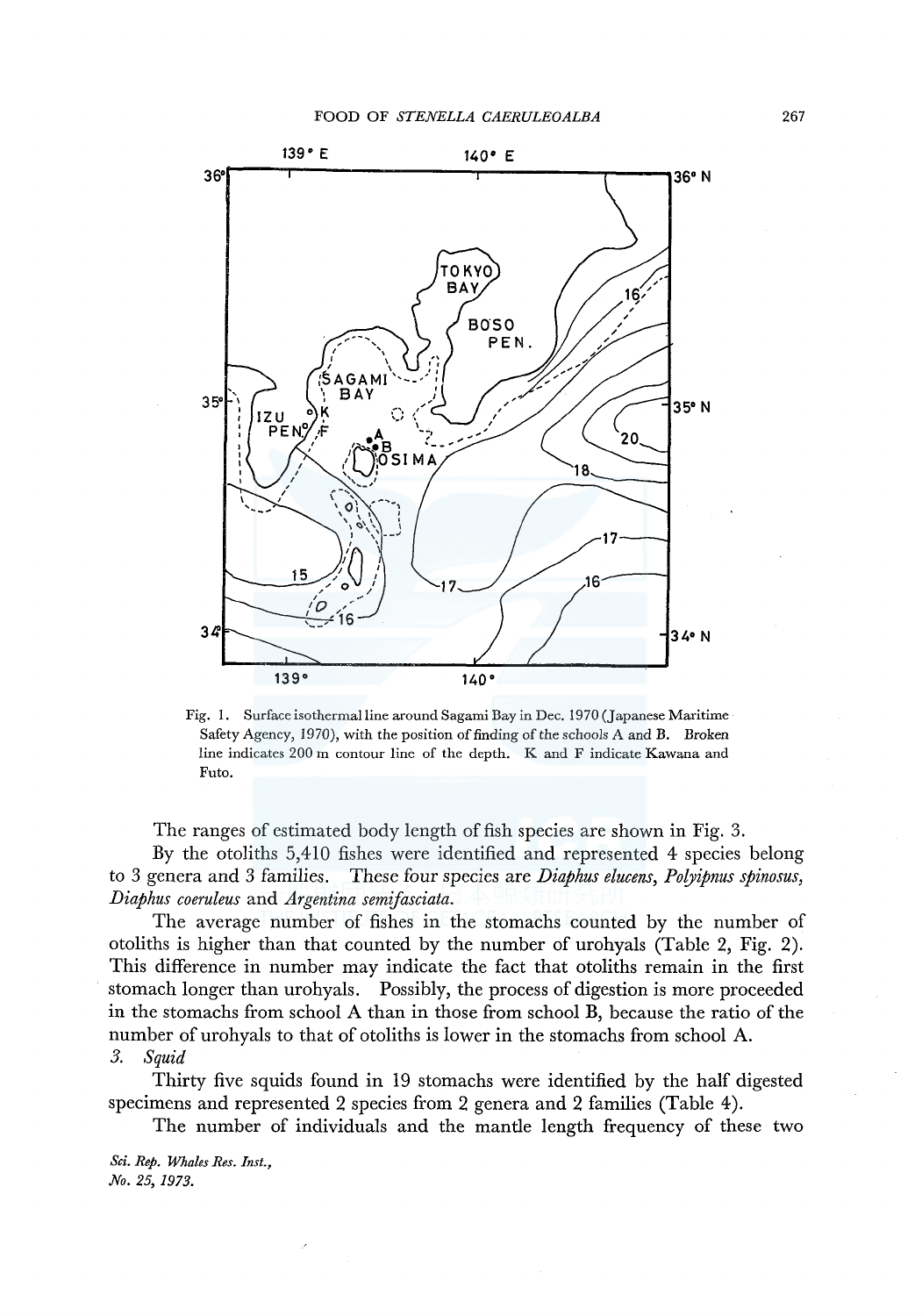

Fig. 1. Surface isothermal line around Sagami Bay in Dec. 1970 (Japanese Maritime Safety Agency, 1970), with the position of finding of the schools A and B. Broken line indicates 200 m contour line of the depth. K and F indicate Kawana and Futo.

The ranges of estimated body length of fish species are shown in Fig. 3.

By the otoliths 5,410 fishes were identified and represented 4 species belong to 3 genera and 3 families. These four species are *Diaphus elucens, Polyipnus spinosus, Diaphus coeruleus* and *Argentina semifasciata.* 

The average number of fishes in the stomachs counted by the number of otoliths is higher than that counted by the number of urohyals (Table 2, Fig. 2). This difference in number may indicate the fact that otoliths remain in the first stomach longer than urohyals. Possibly, the process of digestion is more proceeded in the stomachs from school A than in those from school **B,** because the ratio of the number of urohyals to that of otoliths is lower in the stomachs from school A. *3. Squid* 

Thirty five squids found in 19 stomachs were identified by the half digested specimens and represented 2 species from 2 genera and 2 families (Table 4).

The number of individuals and the mantle length frequency of these two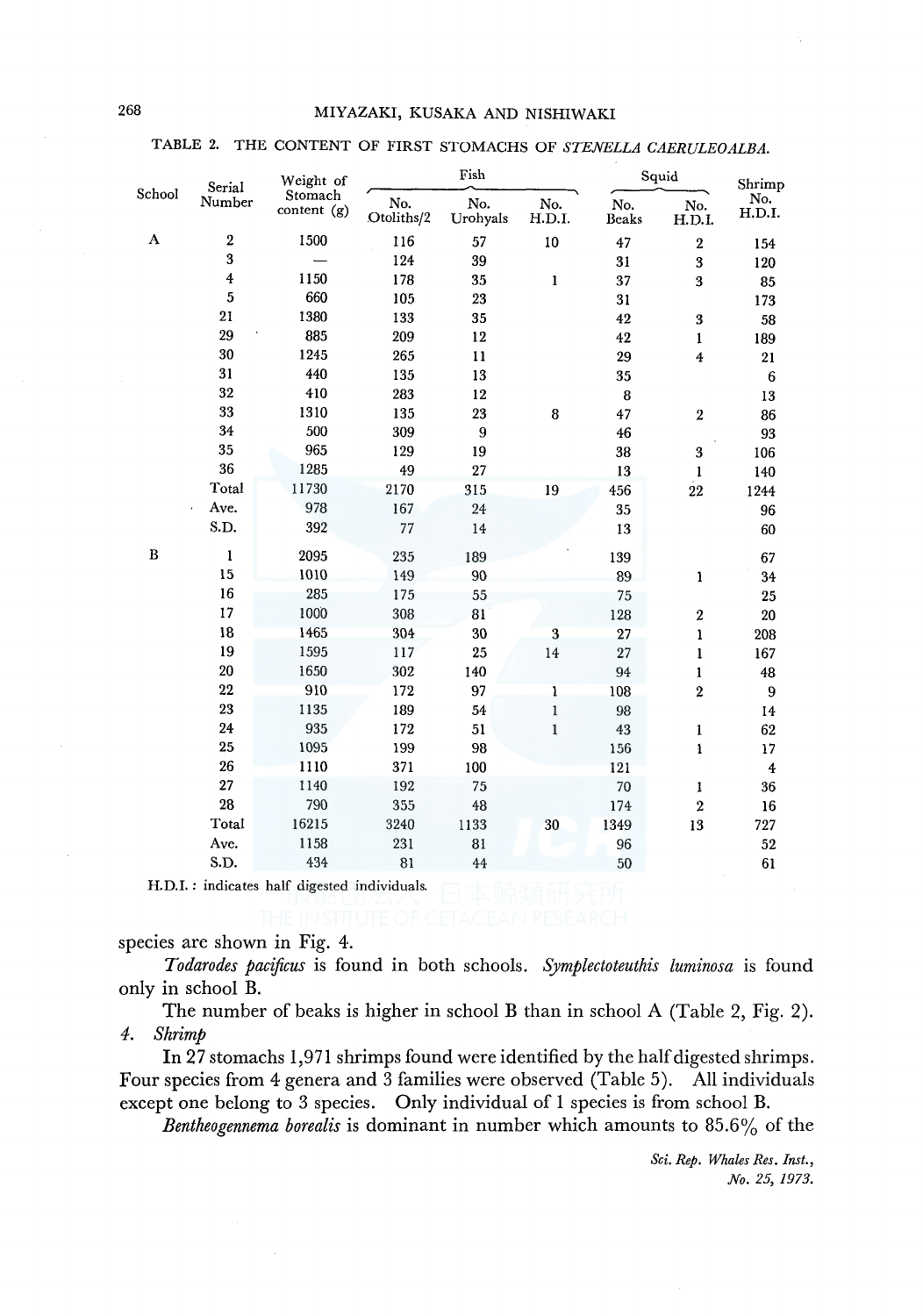### TABLE 2. THE CONTENT OF FIRST STOMACHS OF *STENELLA CAERULEOALBA.*

|        | Serial                  | Weight of                |                   | Fish            |               | Squid        |                  |                         |  |
|--------|-------------------------|--------------------------|-------------------|-----------------|---------------|--------------|------------------|-------------------------|--|
| School | Number                  | Stomach<br>content $(g)$ | No.<br>Otoliths/2 | No.<br>Urohyals | No.<br>H.D.I. | No.<br>Beaks | No.<br>H.D.I.    | Shrimp<br>No.<br>H.D.I. |  |
| A      | $\overline{\mathbf{2}}$ | 1500                     | 116               | 57              | 10            | 47           | $\boldsymbol{2}$ | 154                     |  |
|        | 3                       |                          | 124               | 39              |               | 31           | 3                | 120                     |  |
|        | $\overline{4}$          | 1150                     | 178               | 35              | $\mathbf{1}$  | 37           | 3                | 85                      |  |
|        | $\sqrt{5}$              | 660                      | 105               | 23              |               | 31           |                  | 173                     |  |
|        | 21                      | 1380                     | 133               | 35              |               | 42           | 3                | 58                      |  |
|        | 29                      | 885                      | 209               | 12              |               | 42           | 1                | 189                     |  |
|        | 30                      | 1245                     | 265               | 11              |               | 29           | 4                | 21                      |  |
|        | 31                      | 440                      | 135               | 13              |               | 35           |                  | 6                       |  |
|        | 32                      | 410                      | 283               | 12              |               | $\bf{8}$     |                  | 13                      |  |
|        | 33                      | 1310                     | 135               | 23              | 8             | 47           | $\overline{2}$   | 86                      |  |
|        | 34                      | 500                      | 309               | 9               |               | 46           |                  | 93                      |  |
|        | 35                      | 965                      | 129               | 19              |               | 38           | 3                | 106                     |  |
|        | 36                      | 1285                     | 49                | 27              |               | 13           | 1                | 140                     |  |
|        | Total                   | 11730                    | 2170              | 315             | 19            | 456          | 22               | 1244                    |  |
|        | Ave.                    | 978                      | 167               | 24              |               | 35           |                  | 96                      |  |
|        | S.D.                    | 392                      | 77                | 14              |               | 13           |                  | 60                      |  |
| в      | 1                       | 2095                     | 235               | 189             |               | 139          |                  | 67                      |  |
|        | 15                      | 1010                     | 149               | 90              |               | 89           | $\mathbf{1}$     | 34                      |  |
|        | 16                      | 285                      | 175<br>55         |                 |               | 75           |                  | 25                      |  |
|        | 17                      | 1000                     | 308               | 81              |               | 128          | $\boldsymbol{2}$ | 20                      |  |
|        | 18                      | 1465                     | 304               | 30              | 3             | 27           | $\mathbf{1}$     | 208                     |  |
|        | 19                      | 1595                     | 117               | 25              | 14            | 27           | $\mathbf{I}$     | 167                     |  |
|        | 20                      | 1650                     | 302               | 140             |               | 94           | 1                | 48                      |  |
|        | 22                      | 910                      | 172               | 97              | 1             | 108          | $\overline{2}$   | 9                       |  |
|        | 23                      | 1135                     | 189               | 54              | $\mathbf{1}$  | 98           |                  | 14                      |  |
|        | 24                      | 935                      | 172               | 51              | $\mathbf{1}$  | 43           | $\mathbf{1}$     | 62                      |  |
|        | 25                      | 1095                     | 199               | 98              |               | 156          | $\mathbf{1}$     | 17                      |  |
|        | 26                      | 1110                     | 371               | 100             |               | 121          |                  | $\overline{\textbf{4}}$ |  |
|        | 27                      | 1140                     | 192               | 75              |               | 70           | 1                | 36                      |  |
|        | 28                      | 790                      | 355               | 48              |               | 174          | $\overline{2}$   | 16                      |  |
|        | Total                   | 16215                    | 3240              | 1133            | 30            | 1349         | 13               | 727                     |  |
|        | Ave.                    | 1158                     | 231               | 81              |               | 96           |                  | 52                      |  |
|        | S.D.                    | 434                      | 81                | 44              |               | 50           |                  | 61                      |  |

H.D.I. : indicates half digested individuals.

species are shown in Fig. 4.

*Todarodes pacificus* is found in both schools. *Symplectoteuthis luminosa* is found only in school B.

The number of beaks is higher in school B than in school A (Table 2, Fig. 2). *4. Shrimp* 

In 27 stomachs 1,971 shrimps found were identified by the half digested shrimps. Four species from 4 genera and 3 families were observed (Table 5). All individuals except one belong to 3 species. Only individual of 1 species is from school B.

*Bentheogennema borealis* is dominant in number which amounts to 85.6% of the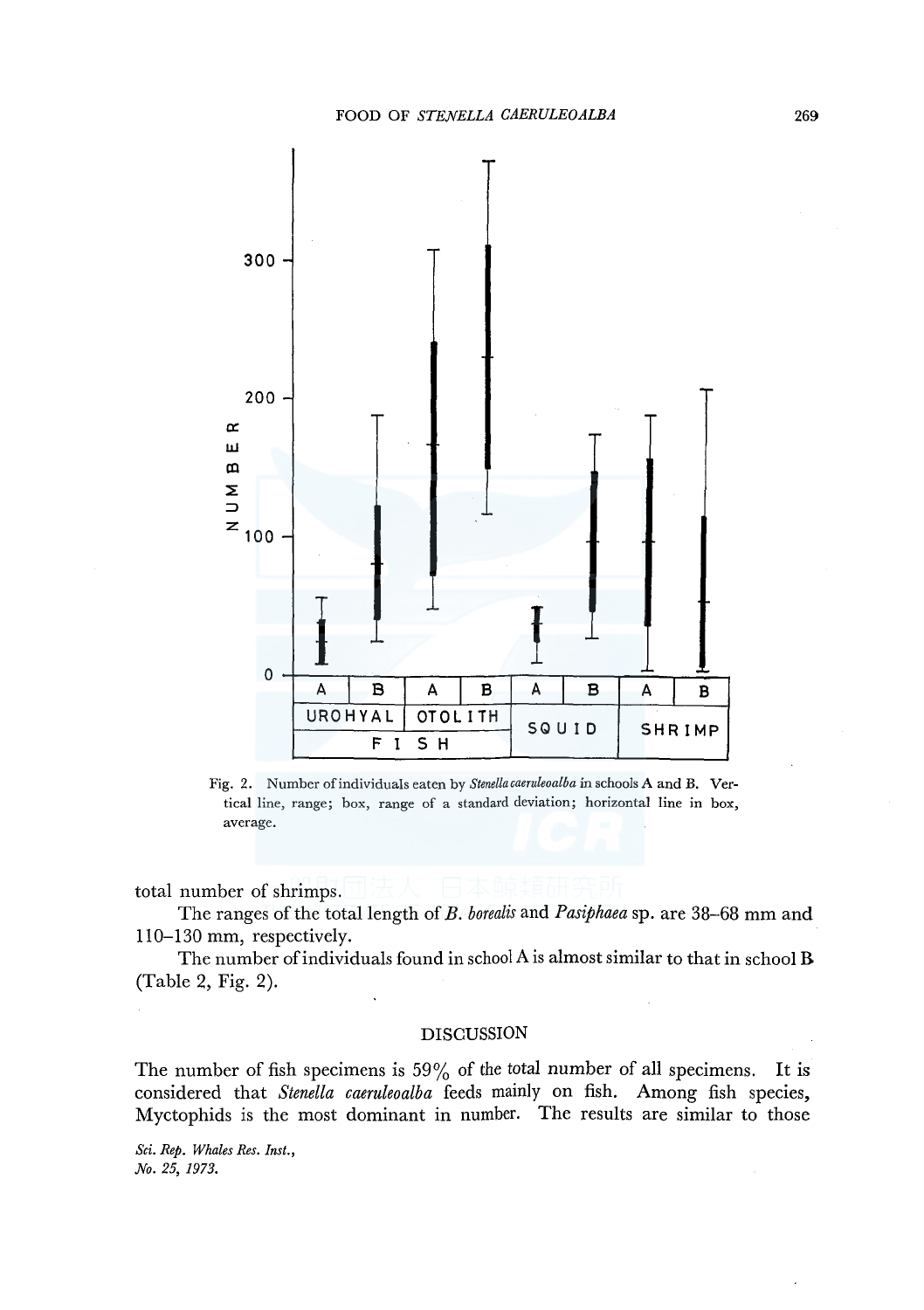

Fig. 2. Number of individuals eaten by *Stenellacaeruleoalba* in schools A and B. Vertical line, range; box, range of a standard deviation; horizontal line in box, average.

total number of shrimps.

The ranges of the total length of *B. borealis* and *Pasiphaea* sp. are 38-68 mm and 110-130 mm, respectively.

The number of individuals found in school A is almost similar to that in school **B**  (Table 2, Fig. 2).

#### DISCUSSION

The number of fish specimens is  $59\%$  of the total number of all specimens. It is considered that *Stenella caeruleoalba* feeds mainly on fish. Among fish species, Myctophids is the most dominant in number. The results are similar to those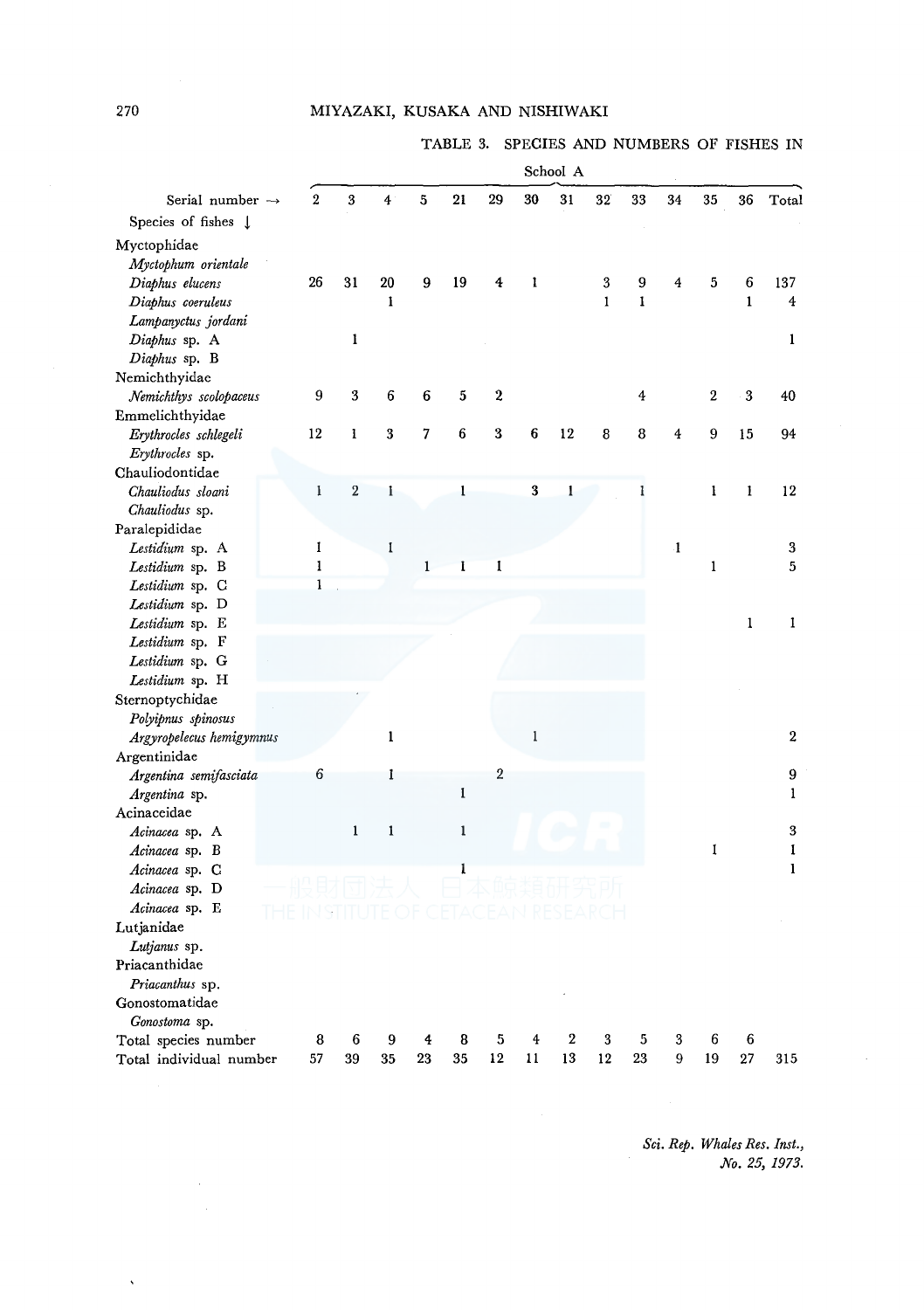## MIYAZAKI, KUSAKA AND NISHIWAKI

TABLE 3. SPECIES AND NUMBERS OF FISHES IN

|                                |                |                  |                         |             |              |                |              | School A |                  |         |              |              |              |                                                                                                |  |
|--------------------------------|----------------|------------------|-------------------------|-------------|--------------|----------------|--------------|----------|------------------|---------|--------------|--------------|--------------|------------------------------------------------------------------------------------------------|--|
| Serial number $\rightarrow$    | $\overline{2}$ | 3                | $\overline{\mathbf{4}}$ | 5           | 21           | 29             | 30           | 31       | 32               | 33      | 34           | 35           | 36           | Total                                                                                          |  |
| Species of fishes $\downarrow$ |                |                  |                         |             |              |                |              |          |                  |         |              |              |              |                                                                                                |  |
| Myctophidae                    |                |                  |                         |             |              |                |              |          |                  |         |              |              |              |                                                                                                |  |
| Myctophum orientale            |                |                  |                         |             |              |                |              |          |                  |         |              |              |              |                                                                                                |  |
| Diaphus elucens                | 26             | 31               | 20                      | 9           | 19           | 4              | 1            |          | $\boldsymbol{3}$ | 9       | 4            | 5            | 6            | 137                                                                                            |  |
| Diaphus coeruleus              |                |                  | 1                       |             |              |                |              |          | $\mathbf{I}$     | Ī       |              |              | $\mathbf{1}$ | $\overline{\mathbf{4}}$                                                                        |  |
| Lampanyctus jordani            |                |                  |                         |             |              |                |              |          |                  |         |              |              |              |                                                                                                |  |
| Diaphus sp. A                  |                | ı                |                         |             |              |                |              |          |                  |         |              |              |              | 1                                                                                              |  |
| Diaphus sp. B                  |                |                  |                         |             |              |                |              |          |                  |         |              |              |              |                                                                                                |  |
| Nemichthyidae                  |                |                  |                         |             |              |                |              |          |                  |         |              |              |              |                                                                                                |  |
| Nemichthys scolopaceus         | 9              | 3                | 6                       | 6           | 5            | 2              |              |          |                  | 4       |              | $\mathbf 2$  | 3            | 40                                                                                             |  |
| Emmelichthyidae                |                |                  |                         |             |              |                |              |          |                  |         |              |              |              |                                                                                                |  |
| Erythrocles schlegeli          | 12             | 1                | $\bf{3}$                | 7           | 6            | 3              | 6            | 12       | 8                | 8       | 4            | 9            | 15           | 94                                                                                             |  |
| Erythrocles sp.                |                |                  |                         |             |              |                |              |          |                  |         |              |              |              |                                                                                                |  |
| Chauliodontidae                |                |                  |                         |             |              |                |              |          |                  |         |              |              |              |                                                                                                |  |
| Chauliodus sloani              | $\bf{l}$       | $\boldsymbol{2}$ | $\mathbf{I}$            |             | ı            |                | 3            | 1        |                  | ı       |              | 1            | ı            | 12                                                                                             |  |
| Chauliodus sp.                 |                |                  |                         |             |              |                |              |          |                  |         |              |              |              |                                                                                                |  |
| Paralepididae                  |                |                  |                         |             |              |                |              |          |                  |         |              |              |              |                                                                                                |  |
| Lestidium sp. A                | 1              |                  | 1                       |             |              |                |              |          |                  |         | $\mathbf{1}$ |              |              | 3                                                                                              |  |
| Lestidium sp. B                | $\mathbf{1}$   |                  |                         | $\mathbf 1$ | I            | $\mathbf{I}$   |              |          |                  |         |              | $\mathbf{1}$ |              | 5                                                                                              |  |
| Lestidium sp. C                | $\mathbf{I}$   |                  |                         |             |              |                |              |          |                  |         |              |              |              |                                                                                                |  |
| Lestidium sp. D                |                |                  |                         |             |              |                |              |          |                  |         |              |              |              |                                                                                                |  |
| Lestidium sp. E                |                |                  |                         |             |              |                |              |          |                  |         |              |              | $\mathbf{1}$ | $\mathbf{1}% _{T}\left  \mathbf{1}\right\rangle =\mathbf{1}_{T}\left  \mathbf{1}\right\rangle$ |  |
| Lestidium sp. F                |                |                  |                         |             |              |                |              |          |                  |         |              |              |              |                                                                                                |  |
| Lestidium sp. G                |                |                  |                         |             |              |                |              |          |                  |         |              |              |              |                                                                                                |  |
| Lestidium sp. H                |                |                  |                         |             |              |                |              |          |                  |         |              |              |              |                                                                                                |  |
| Sternoptychidae                |                |                  |                         |             |              |                |              |          |                  |         |              |              |              |                                                                                                |  |
| Polyipnus spinosus             |                |                  |                         |             |              |                |              |          |                  |         |              |              |              |                                                                                                |  |
| Argyropelecus hemigymnus       |                |                  | ı                       |             |              |                | $\mathbf{1}$ |          |                  |         |              |              |              | $\boldsymbol{2}$                                                                               |  |
| Argentinidae                   |                |                  |                         |             |              |                |              |          |                  |         |              |              |              |                                                                                                |  |
| Argentina semifasciata         | 6              |                  | ı                       |             |              | $\overline{2}$ |              |          |                  |         |              |              |              | 9                                                                                              |  |
| Argentina sp.                  |                |                  |                         |             | 1            |                |              |          |                  |         |              |              |              | $\mathbf{1}$                                                                                   |  |
| Acinaceidae                    |                |                  |                         |             |              |                |              |          |                  |         |              |              |              |                                                                                                |  |
| Acinacea sp. A                 |                | $\mathbf{1}$     | 1                       |             | $\mathbf{1}$ |                |              |          |                  |         |              |              |              | 3                                                                                              |  |
| Acinacea sp. B                 |                |                  |                         |             |              |                |              |          |                  |         |              | $\mathbf{I}$ |              | $\mathbf{I}% _{T}=\mathbf{I}_{T}\cup\mathbf{I}_{T}$                                            |  |
| Acinacea sp. C                 |                |                  |                         |             | ı            |                |              |          |                  |         |              |              |              | $\mathbf{I}$                                                                                   |  |
| Acinacea sp. D                 |                |                  |                         |             |              |                |              |          |                  |         |              |              |              |                                                                                                |  |
| Acinacea sp. E                 |                |                  |                         |             |              |                |              |          |                  |         |              |              |              |                                                                                                |  |
| Lutjanidae                     |                |                  |                         |             |              |                |              |          |                  |         |              |              |              |                                                                                                |  |
| Lutjanus sp.                   |                |                  |                         |             |              |                |              |          |                  |         |              |              |              |                                                                                                |  |
| Priacanthidae                  |                |                  |                         |             |              |                |              |          |                  |         |              |              |              |                                                                                                |  |
| Priacanthus sp.                |                |                  |                         |             |              |                |              |          |                  |         |              |              |              |                                                                                                |  |
| Gonostomatidae                 |                |                  |                         |             |              |                |              |          |                  |         |              |              |              |                                                                                                |  |
| Gonostoma sp.                  |                |                  |                         |             |              |                |              |          |                  |         |              |              |              |                                                                                                |  |
| Total species number           | 8              | 6<br>39          | 9                       | 4<br>23     | 8<br>35      | 5<br>12        | 4<br>11      | 2<br>13  | 3<br>12          | 5<br>23 | 3<br>9       | 6<br>19      | 6<br>27      |                                                                                                |  |
| Total individual number        | 57             |                  | 35                      |             |              |                |              |          |                  |         |              |              |              | 315                                                                                            |  |

*Sci. Rep. Whales Res. Inst., No. 25, 1973.* 

270

 $\ddot{\phantom{1}}$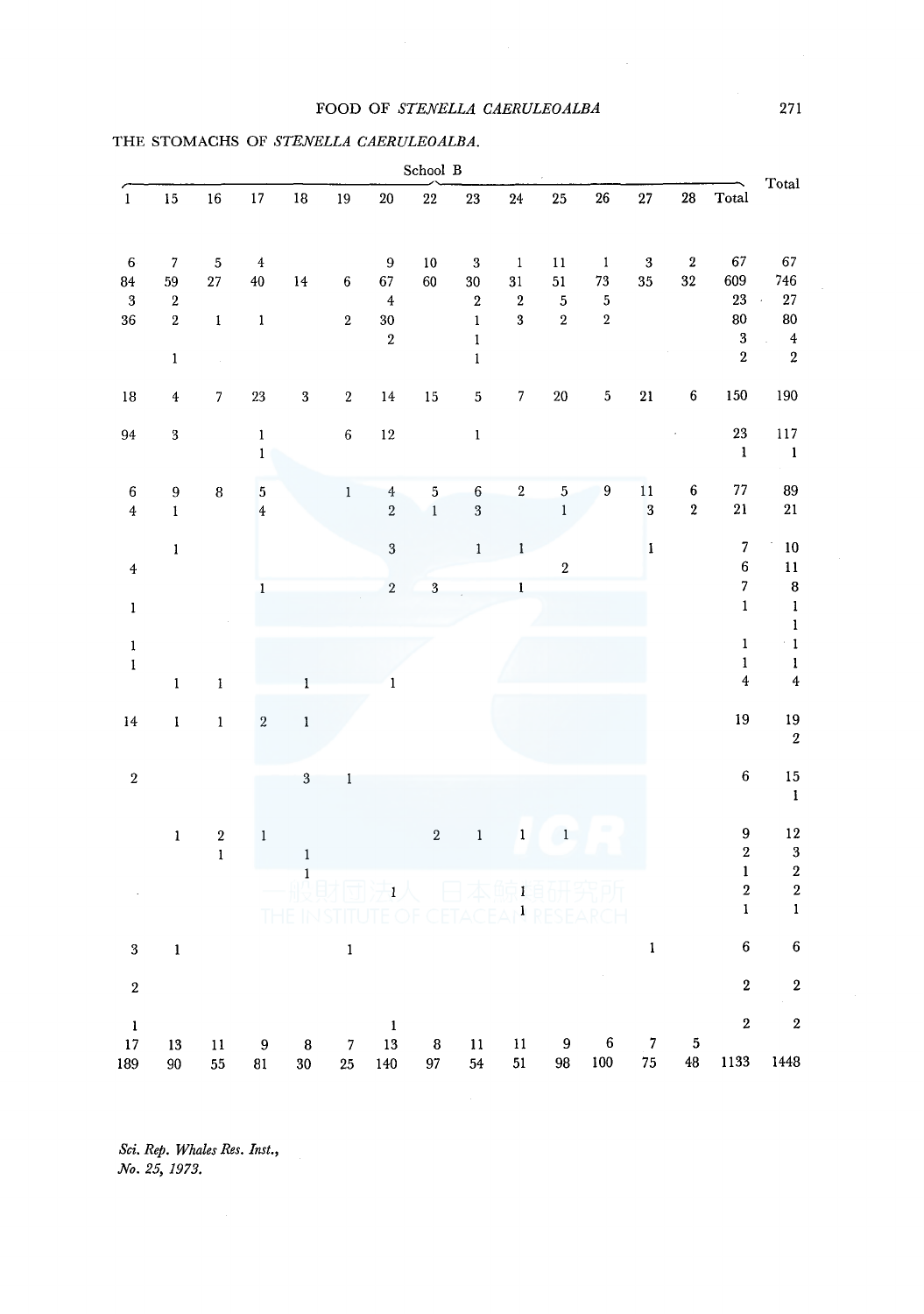## FOOD OF *STENELLA CAERULEOALBA*

|                          | School B         |                         |                         |                     |                        |                      |                         |                            |                                                    |                                           |                                           |                                                                                                                                                                                                                                                                                                                                                                                                                                                                                    |                  |                                        |                                                    |
|--------------------------|------------------|-------------------------|-------------------------|---------------------|------------------------|----------------------|-------------------------|----------------------------|----------------------------------------------------|-------------------------------------------|-------------------------------------------|------------------------------------------------------------------------------------------------------------------------------------------------------------------------------------------------------------------------------------------------------------------------------------------------------------------------------------------------------------------------------------------------------------------------------------------------------------------------------------|------------------|----------------------------------------|----------------------------------------------------|
| $\overline{1}$           | 15               | $16\,$                  | $17\,$                  | $18\,$              | $19\,$                 | $20\,$               | 22                      | 23                         | 24                                                 | 25                                        | 26                                        | 27                                                                                                                                                                                                                                                                                                                                                                                                                                                                                 | ${\bf 28}$       | Total                                  | Total                                              |
| $6\phantom{1}6$          | $\sqrt{7}$       | $\sqrt{5}$              | $\bf{4}$                |                     |                        | $\boldsymbol{9}$     | $10\,$                  | $\bf 3$                    | $\,1\,$                                            | $11\,$                                    | $\mathbf{1}$                              | $\bf 3$                                                                                                                                                                                                                                                                                                                                                                                                                                                                            | $\bf 2$          | 67                                     | 67                                                 |
| 84                       | 59               | $\sqrt{27}$             | $40\,$                  | 14                  | 6                      | 67                   | 60                      | $30\,$                     | 31                                                 | 51                                        | 73                                        | 35                                                                                                                                                                                                                                                                                                                                                                                                                                                                                 | $32\,$           | 609                                    | 746                                                |
| $\sqrt{3}$<br>${\bf 36}$ | $\,2$<br>$\,2\,$ | $\mathbf{1}$            | $\mathbf 1$             |                     | $\,2\,$                | $\overline{4}$<br>30 |                         | $\sqrt{2}$<br>$\mathbf{1}$ | $\overline{\mathbf{2}}$<br>$\overline{\mathbf{3}}$ | $\overline{\mathbf{5}}$<br>$\overline{2}$ | $\overline{\mathbf{5}}$<br>$\overline{2}$ |                                                                                                                                                                                                                                                                                                                                                                                                                                                                                    |                  | 23<br>80                               | $\bf 27$<br>$\overline{a}$<br>80                   |
|                          |                  |                         |                         |                     |                        | $\,2\,$              |                         | $\mathbf{l}$               |                                                    |                                           |                                           |                                                                                                                                                                                                                                                                                                                                                                                                                                                                                    |                  | $\sqrt{3}$                             | $\overline{4}$                                     |
|                          | $\mathbf 1$      | $\sim$                  |                         |                     |                        |                      |                         | $\mathbf{l}$               |                                                    |                                           |                                           |                                                                                                                                                                                                                                                                                                                                                                                                                                                                                    |                  | $\sqrt{2}$                             | $\overline{2}$                                     |
| $18\,$                   | $\bf{4}$         | $\boldsymbol{7}$        | $23\,$                  | $\bf 3$             | $\,2\,$                | $14\,$               | $15\,$                  | $\mathbf 5$                | $\overline{\mathbf{7}}$                            | $20\,$                                    | $\sqrt{5}$                                | ${\bf 21}$                                                                                                                                                                                                                                                                                                                                                                                                                                                                         | $\boldsymbol{6}$ | 150                                    | 190                                                |
| 94                       | $\bf 3$          |                         | $\mathbf 1$             |                     | $\,6\,$                | $12\,$               |                         | $\bf{l}$                   |                                                    |                                           |                                           |                                                                                                                                                                                                                                                                                                                                                                                                                                                                                    |                  | $\bf 23$                               | 117                                                |
|                          |                  |                         | $\mathbf{1}$            |                     |                        |                      |                         |                            |                                                    |                                           |                                           |                                                                                                                                                                                                                                                                                                                                                                                                                                                                                    |                  | $\mathbf{1}$                           | $\mathbf{1}$                                       |
| $\boldsymbol{6}$         | $\boldsymbol{9}$ | $\bf 8$                 | $\overline{\mathbf{5}}$ |                     | $\mathbf 1$            | $\overline{4}$       | $\overline{\mathbf{5}}$ | $\boldsymbol{6}$           | $\,2\,$                                            | $\overline{5}$                            | $\overline{9}$                            | $1\,1$                                                                                                                                                                                                                                                                                                                                                                                                                                                                             | $\boldsymbol{6}$ | $77\,$                                 | 89                                                 |
| $\bf 4$                  | $\mathbf{l}$     |                         | $\overline{4}$          |                     |                        | $\sqrt{2}$           | $\,1$                   | $\overline{3}$             |                                                    | $\,1$                                     |                                           | $\overline{\mathbf{3}}$                                                                                                                                                                                                                                                                                                                                                                                                                                                            | $\,2\,$          | $\bf{21}$                              | $\bf 21$                                           |
|                          | $\mathbf{1}$     |                         |                         |                     |                        | $\overline{3}$       |                         | $\mathbf{1}$               | $\mathbf{1}$                                       |                                           |                                           | $\mathbf{I}% _{t}\left  \mathbf{I}_{t}\right $                                                                                                                                                                                                                                                                                                                                                                                                                                     |                  | $\sqrt{7}$                             | 10                                                 |
| $\overline{4}$           |                  |                         |                         |                     |                        |                      |                         |                            |                                                    | $\overline{2}$                            |                                           |                                                                                                                                                                                                                                                                                                                                                                                                                                                                                    |                  | $\boldsymbol{6}$<br>$\overline{7}$     | $\bar{1}1$                                         |
| $\bf{l}$                 |                  |                         | $\mathbf{1}$            |                     |                        | $\overline{2}$       | $\overline{\mathbf{3}}$ |                            | $\mathbf{l}$                                       |                                           |                                           |                                                                                                                                                                                                                                                                                                                                                                                                                                                                                    |                  | $\mathbf 1$                            | $\bf{8}$<br>$\mathbf 1$                            |
|                          |                  |                         |                         |                     |                        |                      |                         |                            |                                                    |                                           |                                           |                                                                                                                                                                                                                                                                                                                                                                                                                                                                                    |                  |                                        | $\mathbf 1$                                        |
| $\pmb{1}$<br>$\mathbf 1$ |                  |                         |                         |                     |                        |                      |                         |                            |                                                    |                                           |                                           |                                                                                                                                                                                                                                                                                                                                                                                                                                                                                    |                  | $\mathbf 1$<br>$\mathbf 1$             | $^\circ$ 1<br>$\mathbf{l}$                         |
|                          | $\mathbf 1$      | $\mathbf i$             |                         | $\mathbf 1$         |                        | $\mathbf{I}$         |                         |                            |                                                    |                                           |                                           |                                                                                                                                                                                                                                                                                                                                                                                                                                                                                    |                  | $\pmb{4}$                              | $\boldsymbol{4}$                                   |
| $14\,$                   | $\mathbf I$      | $\mathbf 1$             | $\sqrt{2}$              | $\mathbf 1$         |                        |                      |                         |                            |                                                    |                                           |                                           |                                                                                                                                                                                                                                                                                                                                                                                                                                                                                    |                  | 19                                     | 19                                                 |
|                          |                  |                         |                         |                     |                        |                      |                         |                            |                                                    |                                           |                                           |                                                                                                                                                                                                                                                                                                                                                                                                                                                                                    |                  |                                        | $\sqrt{2}$                                         |
| $\,2$                    |                  |                         |                         | $\sqrt{3}$          | $\,$ I                 |                      |                         |                            |                                                    |                                           |                                           |                                                                                                                                                                                                                                                                                                                                                                                                                                                                                    |                  | $\bf 6$                                | 15                                                 |
|                          |                  |                         |                         |                     |                        |                      |                         |                            |                                                    |                                           |                                           |                                                                                                                                                                                                                                                                                                                                                                                                                                                                                    |                  |                                        | $\mathbf 1$                                        |
|                          | $\mathbf{1}$     | $\overline{\mathbf{2}}$ | $\,1$                   |                     |                        |                      | $\overline{2}$          | $\mathbf 1$                | $\mathbf 1$                                        | $\mathbf{1}$                              |                                           |                                                                                                                                                                                                                                                                                                                                                                                                                                                                                    |                  | $\overline{9}$                         | $12\,$                                             |
|                          |                  | $\mathbf 1$             |                         | $\,$ $\,$           |                        |                      |                         |                            |                                                    |                                           |                                           |                                                                                                                                                                                                                                                                                                                                                                                                                                                                                    |                  | $\overline{\mathbf{2}}$<br>$\mathbf 1$ | $\overline{\mathbf{3}}$<br>$\overline{\mathbf{2}}$ |
|                          |                  |                         |                         | $\mathbf{1}$        |                        | $\mathbf{1}$         |                         |                            | $\bf{l}$                                           |                                           |                                           |                                                                                                                                                                                                                                                                                                                                                                                                                                                                                    |                  | $\overline{\mathbf{2}}$                | $\overline{\mathbf{2}}$                            |
|                          |                  |                         |                         |                     |                        |                      |                         |                            | $\mathbf{1}$                                       |                                           |                                           |                                                                                                                                                                                                                                                                                                                                                                                                                                                                                    |                  | $\mathbf{1}$                           | $\mathbf{1}$                                       |
| $\bf{3}$                 | $\pmb{1}$        |                         |                         |                     | $\mathbf 1$            |                      |                         |                            |                                                    |                                           |                                           | $\mathbf{I}% _{t}\left  \mathbf{I}_{t}\right  ^{-1}\left  \mathbf{I}_{t}\right  ^{-1}\left  \mathbf{I}_{t}\right  ^{-1}\left  \mathbf{I}_{t}\right  ^{-1}\left  \mathbf{I}_{t}\right  ^{-1}\left  \mathbf{I}_{t}\right  ^{-1}\left  \mathbf{I}_{t}\right  ^{-1}\left  \mathbf{I}_{t}\right  ^{-1}\left  \mathbf{I}_{t}\right  ^{-1}\left  \mathbf{I}_{t}\right  ^{-1}\left  \mathbf{I}_{t}\right  ^{-1}\left  \mathbf{I}_{t}\right  ^{-1}\left  \mathbf{I}_{t}\right  ^{-1}\left $ |                  | $\boldsymbol{6}$                       | $\bf 6$                                            |
| $\,2\,$                  |                  |                         |                         |                     |                        |                      |                         |                            |                                                    |                                           |                                           |                                                                                                                                                                                                                                                                                                                                                                                                                                                                                    |                  | $\bf 2$                                | $\bf 2$                                            |
| $\mathbf 1$              |                  |                         |                         |                     |                        | $\mathbf 1$          |                         |                            |                                                    |                                           |                                           |                                                                                                                                                                                                                                                                                                                                                                                                                                                                                    |                  | $\overline{\mathbf{2}}$                | $\bf 2$                                            |
| 17<br>189                | 13<br>90         | $11\,$<br>55            | $\boldsymbol{9}$<br>81  | ${\bf 8}$<br>$30\,$ | $\boldsymbol{7}$<br>25 | 13<br>140            | ${\bf 8}$<br>97         | $11\,$<br>54               | $11\,$<br>51                                       | 9<br>$98\,$                               | $\boldsymbol{6}$<br>100                   | $\overline{7}$<br>${\bf 75}$                                                                                                                                                                                                                                                                                                                                                                                                                                                       | 5<br>48          | 1133                                   | 1448                                               |

# THE STOMACHS OF *STENELLA CAERULEOALBA.*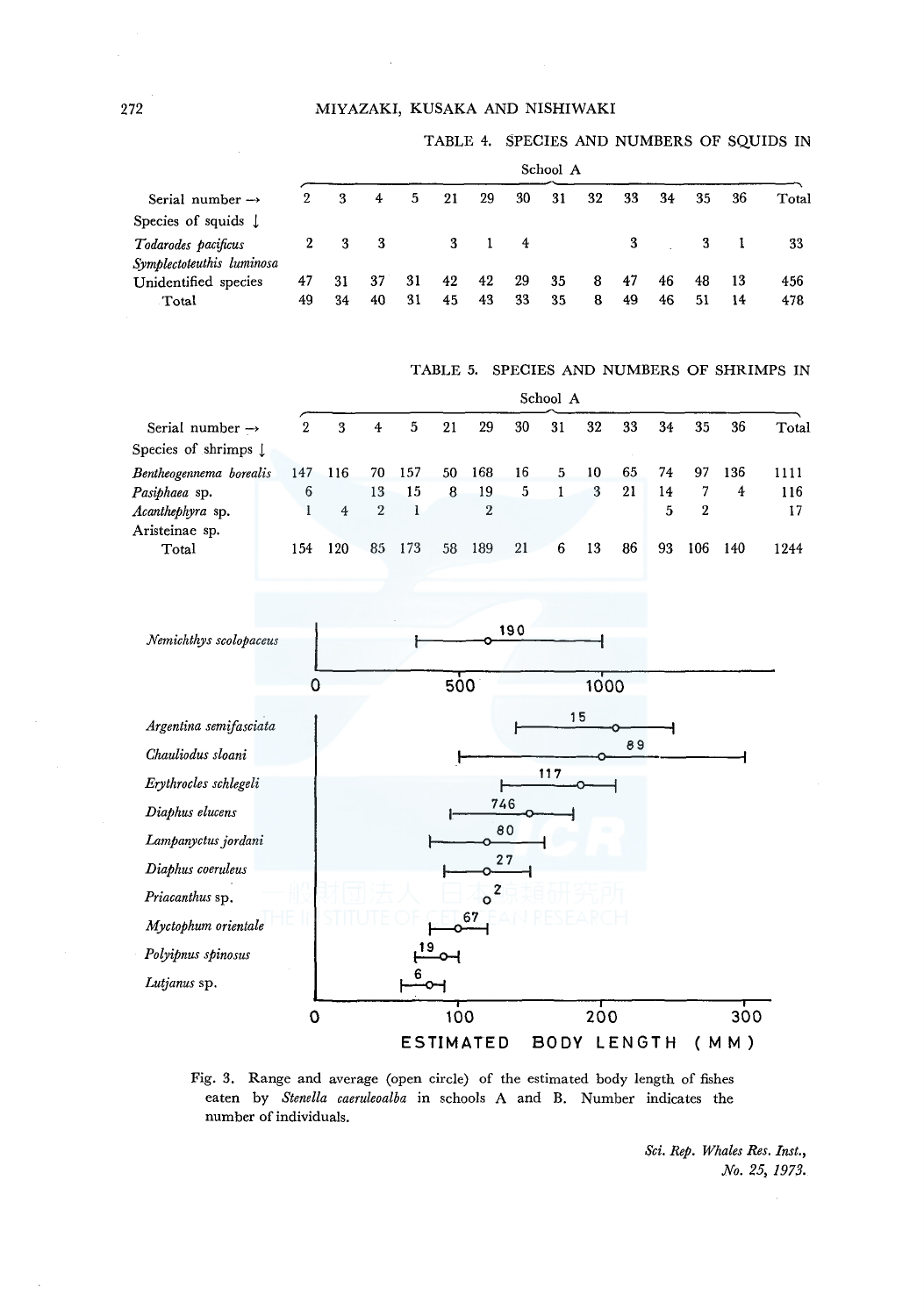## MIYAZAKI, KUSAKA AND NISHIWAKI

#### TABLE 4. SPECIES AND NUMBERS OF SQUIDS IN

|                                                  |              | School A |          |          |          |          |          |          |        |          |          |          |          |            |
|--------------------------------------------------|--------------|----------|----------|----------|----------|----------|----------|----------|--------|----------|----------|----------|----------|------------|
| Serial number $\rightarrow$                      |              | 3        | 4        | 5        | 21       | 29       | 30       | 31       | 32     | 33       | 34       | 35       | 36       | Total      |
| Species of squids $\downarrow$                   |              |          |          |          |          |          |          |          |        |          |          |          |          |            |
| Todarodes pacificus<br>Symplectoteuthis luminosa | $\mathbf{2}$ | - 3      | - 3      |          | 3        |          | 4        |          |        |          |          | 3        |          | 33         |
| Unidentified species<br>Total                    | 47<br>49     | 31<br>34 | 37<br>40 | 31<br>31 | 42<br>45 | 42<br>43 | 29<br>33 | 35<br>35 | 8<br>8 | 47<br>49 | 46<br>46 | 48<br>51 | 13<br>14 | 456<br>478 |

TABLE 5. SPECIES AND NUMBERS OF SHRIMPS IN

|                              |                | School A |    |     |     |     |    |    |    |     |    |     |     |       |
|------------------------------|----------------|----------|----|-----|-----|-----|----|----|----|-----|----|-----|-----|-------|
| Serial number $\rightarrow$  | $\overline{2}$ | 3        | 4  | 5   | 21  | 29  | 30 | 31 | 32 | 33  | 34 | 35  | 36  | Total |
| Species of shrimps $\lfloor$ |                |          |    |     |     |     |    |    |    |     |    |     |     |       |
| Bentheogennema borealis      | 147            | 116      | 70 | 157 | 50. | 168 | 16 | 5. | 10 | 65  | 74 | 97  | 136 | 1111  |
| Pasiphaea sp.                | 6              |          | 13 | 15  | 8   | 19  | 5  |    | 3  | 21  | 14 |     | 4   | 116   |
| Acanthephyra sp.             |                | 4        | 2  |     |     | 2   |    |    |    |     | 5  | 2   |     | 17    |
| Aristeinae sp.               |                |          |    |     |     |     |    |    |    |     |    |     |     |       |
| Total                        | 1.54           | 120      | 85 | 173 | 58  | 189 | 21 | 6  | 13 | -86 | 93 | 106 | 140 | 1244  |
|                              |                |          |    |     |     |     |    |    |    |     |    |     |     |       |



Fig. 3. Range and average (open circle) of the estimated body length of fishes eaten by *Stenella caeruleoalba* in schools A and B. Number indicates the number of individuals.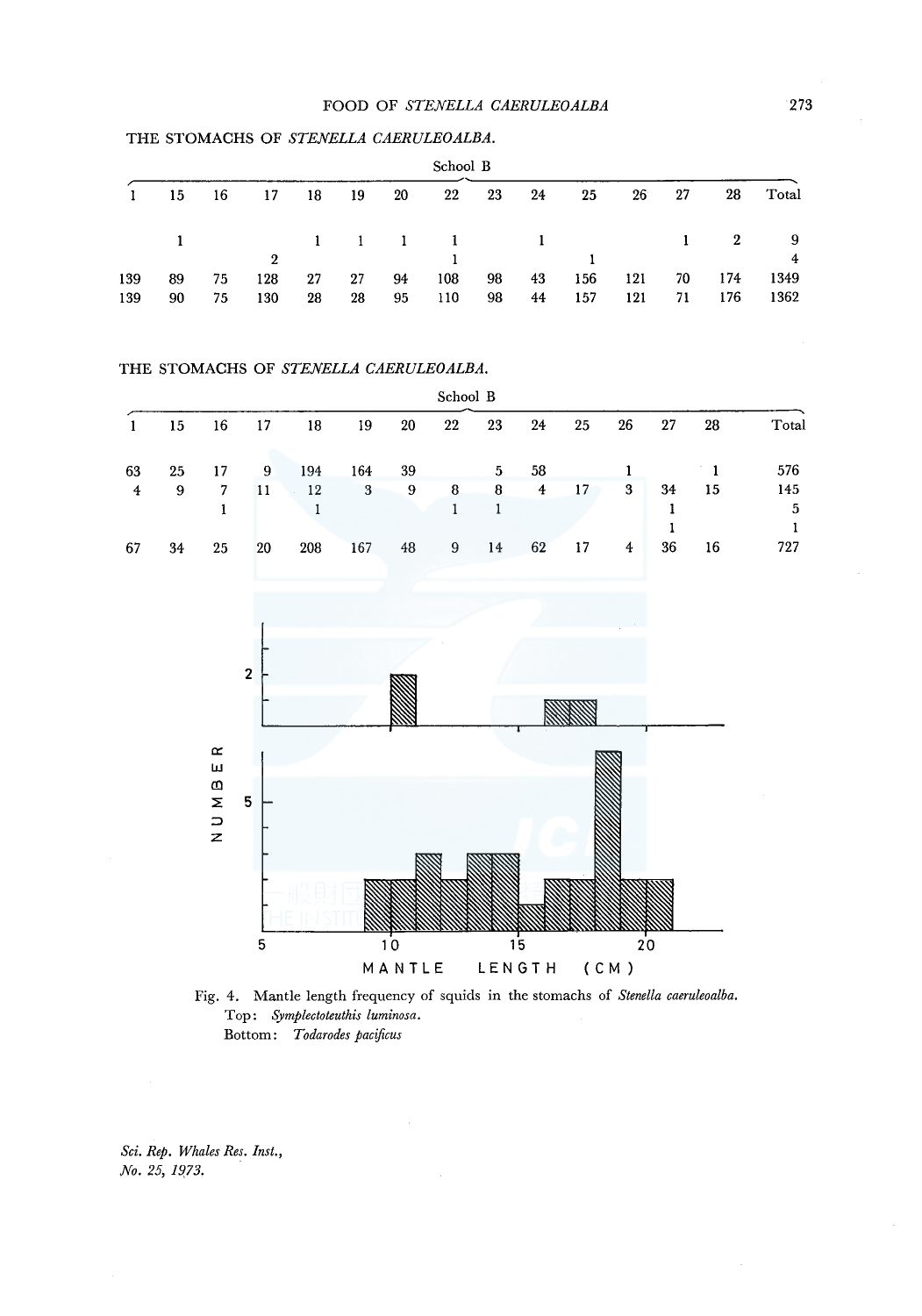|     | School B |     |                   |    |      |    |     |    |    |     |              |    |     |                         |
|-----|----------|-----|-------------------|----|------|----|-----|----|----|-----|--------------|----|-----|-------------------------|
|     | 15       | -16 | -17               | 18 | - 19 | 20 | 22  | 23 | 24 | 25  | $26^{\circ}$ | 27 | 28  | Total                   |
|     |          |     | 1 1 1 1 1 1 1 1 2 |    |      |    |     |    |    |     |              |    |     | $\overline{\mathbf{9}}$ |
|     |          |     | $\overline{2}$    |    |      |    |     |    |    |     |              |    |     | 4                       |
| 139 | 89       | 75  | 128               | 27 | 27   | 94 | 108 | 98 | 43 | 156 | 121          | 70 | 174 | 1349                    |
| 139 | 90       | 75  | 130               | 28 | 28   | 95 | 110 | 98 | 44 | 157 | 121          | 71 | 176 | 1362                    |

## THE STOMACHS OF *STENELLA CAERULEOALBA.*

#### THE STOMACHS OF STENELLA CAERULEOALBA.

|    | School B |    |    |     |     |    |    |    |    |    |                |    |    |       |
|----|----------|----|----|-----|-----|----|----|----|----|----|----------------|----|----|-------|
|    | 15       | 16 | 17 | 18  | 19  | 20 | 22 | 23 | 24 | 25 | 26             | 27 | 28 | Total |
| 63 | 25       | 17 | 9  | 194 | 164 | 39 |    | 5  | 58 |    |                |    |    | 576   |
| 4  | 9        | 7  | 11 | 12  | 3   | 9  | 8  | 8  | 4  | 17 | 3              | 34 | 15 | 145   |
|    |          |    |    |     |     |    |    |    |    |    |                |    |    | 5     |
|    |          |    |    |     |     |    |    |    |    |    |                |    |    |       |
| 67 | 34       | 25 | 20 | 208 | 167 | 48 | 9  | 14 | 62 | 17 | $\overline{4}$ | 36 | 16 | 727   |
|    |          |    |    |     |     |    |    |    |    |    |                |    |    |       |



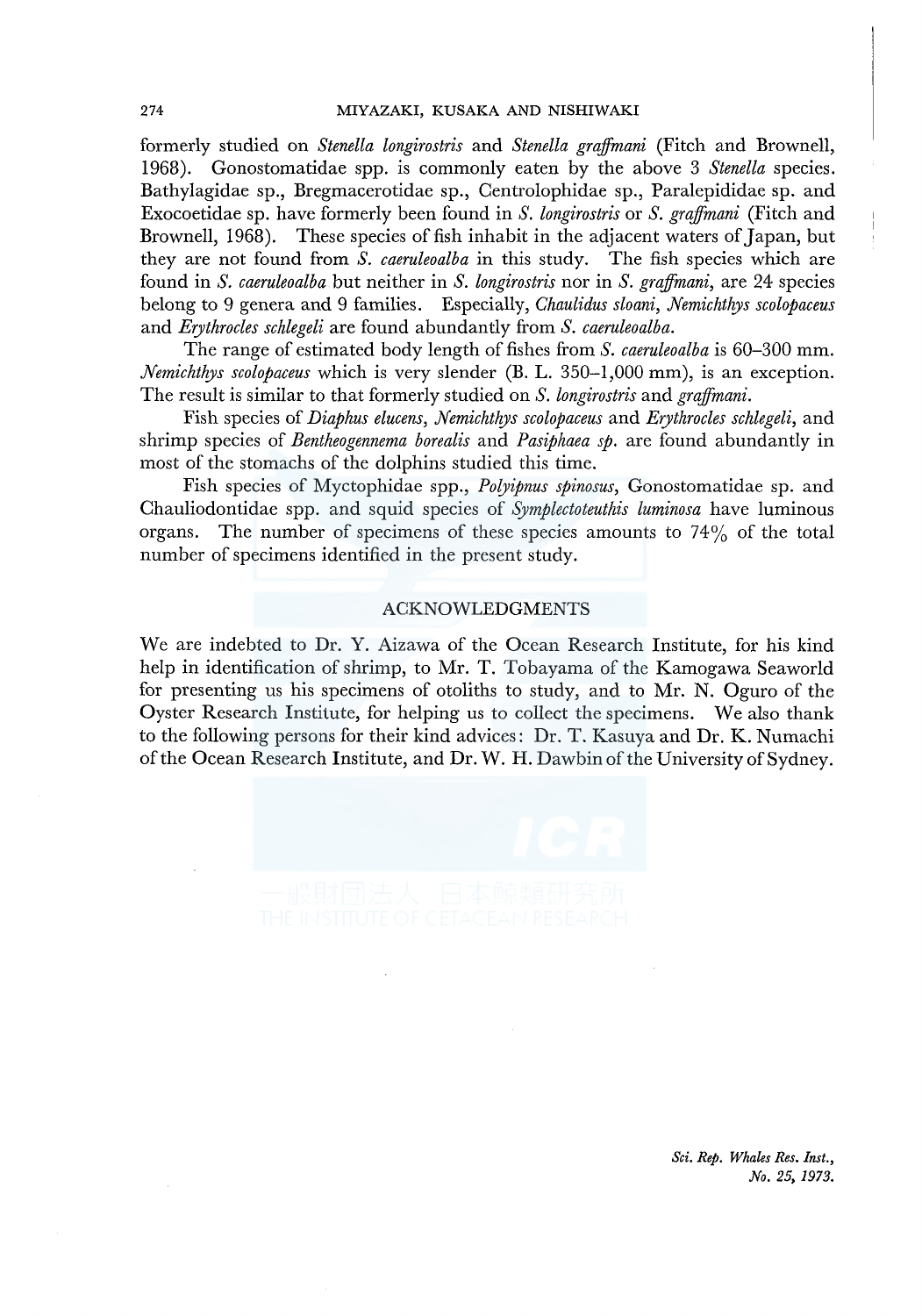formerly studied on *Stenella longirostris* and *Stenella grajfmani* (Fitch and Brownell, 1968). Gonostomatidae spp. is commonly eaten by the above 3 *Stenella* species. Bathylagidae sp., Bregmacerotidae sp., Centrolophidae sp., Paralepididae sp. and Exocoetidae sp. have formerly been found in *S. longirostris* or *S. grajfmani* (Fitch and Brownell, 1968). These species of fish inhabit in the adjacent waters of Japan, but they are not found from *S. caeruleoalba* in this study. The fish species which are found in *S. caeruleoalba* but neither in *S. longirostris* nor in *S. grajfmani,* are 24 species belong to 9 genera and 9 families. Especially, *Chaulidus sloani, Nemichthys scolopaceus*  and *Erythrocles schlegeli* are found abundantly from *S. caeruleoalba.* 

The range of estimated body length of fishes from *S. caeruleoalba* is 60-300 mm. *Nemichthys scolopaceus* which is very slender (B. L. 350-1,000 mm), is an exception. The result is similar to that formerly studied on *S. longirostris* and *grajfmani.* 

Fish species of *Diaphus elucens, Nemichthys scolopaceus* and *Erythrocles schlegeli,* and shrimp species of *Bentheogennema borealis* and *Pasiphaea sp.* are found abundantly in most of the stomachs of the dolphins studied this time.

Fish species of Myctophidae spp., *Polyipnus spinosus,* Gonostomatidae sp. and Chauliodontidae spp. and squid species of *Symplectoteuthis luminosa* have luminous organs. The number of specimens of these species amounts to  $74\%$  of the total number of specimens identified in the present study.

## ACKNOWLEDGMENTS

We are indebted to Dr. Y. Aizawa of the Ocean Research Institute, for his kind help in identification of shrimp, to Mr. T. Tobayama of the Kamogawa Seaworld for presenting us his specimens of otoliths to study, and to Mr. N. Oguro of the Oyster Research Institute, for helping us to collect the specimens. We also thank to the following persons for their kind advices: Dr. T. Kasuya and Dr. K. Numachi of the Ocean Research Institute, and Dr. W. H. Dawbin of the University of Sydney.